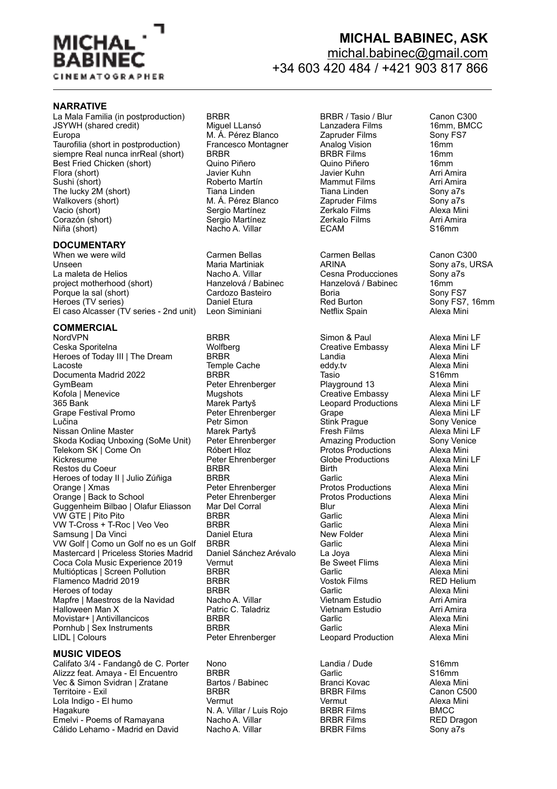

# **MICHAL BABINEC, ASK**  [michal.babinec@gmail.com](mailto:michal.babinec@gmail.com)

### +34 603 420 484 / +421 903 817 866

#### **NARRATIVE**

La Mala Familia (in postproduction) di BRBR Mala BRBR / Tasio / Blur Canon C300<br>JSYWH (shared credit) di Miquel LLansó di Lanzadera Films di Thom, BMC JSYWH (shared credit) Miguel LLansó Lanzadera Films 16mm, BMCC Europa M. Á. Pérez Blanco Zapruder Films Sony FS7 Taurofilia (short in postproduction) Francesco Montagner Analog Vision 16mm<br>
siempre Real nunca inrReal (short) BRBR 16mm siempre Real nunca inrReal (short) BRBR Time BRBR Films 16mm<br>Best Fried Chicken (short) Quino Piñero Quino Piñero 16mm Best Fried Chicken (short)  $\sim$  Quino Piñero Quino Piñero 16mm (2001)<br>
Suring Chicken (short) (2001) Javier Kuhn (2001) Javier Kuhn (2001) Arri Amira Flora (short) Javier Kuhn Javier Kuhn Arri Amira The lucky 2M (short) Trana Linden Tiana Linden Trana Linden Sony a7s<br>
Walkovers (short) Trana Linden Trana Linden Trana Linden Sony a7s Walkovers (short) M. Á. Pérez Blanco Zapruder Films Sony a7s<br>Vacio (short) Sergio Martínez Zerkalo Films Alexa Mini Corazón (short) Sergio Martínez Zerkalo Films Arri Ami<br>Niña (short) Nacho A. Villar ECAM S16mm

#### **DOCUMENTARY**

When we were wild Carmen Bellas Carmen Bellas Canon C300<br>Carmen Bellas Canon C300<br>Carmen Maria Martiniak Carl ARINA Channes Sony at Sull Unseen Martiniak Martiniak Martiniak ARINA Sony a7s, URSA<br>La maleta de Helios Nacho A. Villar Cesna Producciones Sony a7s La maleta de Helios **Nacho A. Villar** Nacho A. Villar Cesna Producciones Sony and Cesna Producciones Cony a<br>
Lanzelová / Babinec Hanzelová / Babinec Hanzelová / Babinec 16mm project motherhood (short) 
<br>
Porque la sal (short) 

Hanzelová / Babinec 
Hanzelová / Babinec 

Hanzelová / Babinec 

Hanzelová / Babinec 

Hanzelová / Babinec 

Hanzelová / Babinec 

16mm

Sony FS7 Porque la sal (short) <sup>2</sup> Cardozo Basteiro Poria Cardozo Boria Coria Coria Sony FS7<br>
Heroes (TV series) Coria Daniel Etura Red Burton Coria Sony FS7, 16mm Heroes (TV series) <sup>Daniel</sup> Etura Red Burton Sony FS7, 16mm FS7, 16mm Sony FS7, 16mm Sony FS7, 16mm Sony FS7, 16mm Sony FS7, 16mm Sony FS7, 16mm Sony FS7, 16mm Sony FS7, 16mm Sony FS7, 16mm Sony FS7, 16mm Sony Technology C El caso Alcasser (TV series - 2nd unit)

# **COMMERCIAL**

Ceska Sporitelna Wolfberg Creative Embassy Alexa Mini LF Heroes of Today III | The Dream BRBR BREE Landia Control of Today III | The Dream BRBR BREE Landia Alexa Mini Lacoste Temple Cache eddy.tv Alexa Mini Documenta Madrid 2022 BRBR Tasio S16mm Kofola | Menevice Mugshots Creative Embassy Alexa Mini LF<br>365 Bank Marek Partyš Leopard Productions Grape Festival Promo **Peter Ehrenberger** Grape Grape Alexa Mini LF Lučina Petr Simon Stink Prague Sony Venice Nissan Online Master **Marek Partyš Fresh Films** Fresh Films Alexa Mini LF<br>Skoda Kodiag Unboxing (SoMe Unit) Peter Ehrenberger Amazing Production Sony Venice Skoda Kodiaq Unboxing (SoMe Unit) Peter Ehrenberger Amazing Production Telekom SK I Come On Róbert Hloz Telekom SK | Come On Róbert Hloz Protos Productions Alexa Mini Kickresume **Reter Ehrenberger Clobe Productions** Alexa Mini Alexa Mini Restos du Coeur Restos du Coeur Heroes of today II | Julio Zúñiga BRBR Garlic Garlic Garlic Cheange | Xmas Cheange | Xmas Garlic Alexa Mini Orange | Back to School Peter Ehrenberger Protos Productions Alexa Mini<br>Guggenheim Bilbao | Olafur Eliasson Mar Del Corral Blur Blur Alexa Mini Guggenheim Bilbao | Olafur Eliasson Mar Del Corral <sup>Corre</sup> Blur Blur Alexa Mini<br>VW GTE | Pito Pito | BRBR Alexa Mini | Garlic Alexa Mini  $VW$  GTE | Pito Pito VW T-Cross + T-Roc | Veo Veo BRBR BREST BREST Garlic Garlic Alexa Mini<br>Samsung | Da Vinci Garlie Alexa Mini Daniel Etura New Folder Collect Alexa Mini Samsung | Da Vinci | New Folder | New Folder | New Folder | New Folder | New Tollocal Mini VW Golf | Como un Golf no es un Golf BRBR Garlic Garlic Garlic Como un Garlic Alexa Mini<br>Mastercard | Priceless Stories Madrid Daniel Sánchez Arévalo La Jova Carlic Alexa Mini Mastercard | Priceless Stories Madrid Daniel Sánchez Arévalo La Joya<br>Coca Cola Music Experience 2019 Vermut Coca Cola Music Experience 2019 Coca Cola Music Experience 2019 Vermut Vermut Be Sweet Flims Alexa Mini<br>Multiónticas I Screen Pollution BRBR Garlic Garlic Alexa Mini Multiópticas | Screen Pollution BRBR Garlic Alexa Mini Flamenco Madrid 2019 **BRBR** Vostok Films RED Helium RED Helium RED Helium RED Helium RED Helium RED Helium RED Helium RED Helium RED Helium RED Helium RED Helium RED Helium RED Helium RED Helium RED Helium RED RED RED RED Heroes of today Francisco Communist Carlic Carlic Corresponding Minism Carlic Carlic Alexa Minism Map tre and Minism<br>Map tre I Maestros de la Navidad Macho A. Villar Carlic Corresponding Carlic Carli Amira Mapfre | Maestros de la Navidad (Nacho A. Villar Nacho Arri Amira in Vietnam Estudio Arri Amira Arri Amira<br>Halloween Man X (Nacho Arri Amira C. Taladriz in Vietnam Estudio Arri Amira Halloween Man X **Patric C. Taladriz** Vietnam Estudio **Vietnam** Estudio Movistar+ | Antivillancicos BRBR Garlic Garlic Alexa Mini Pornhub | Sex Instruments BRBR Garlic Alexa Mini LIDL | Colours | Colours | Peter Ehrenberger | Leopard Production | Alexa Mini

#### **MUSIC VIDEOS**

Califato 3/4 - Fandangô de C. Porter Nono Landia / Dude S16mm<br>Alizzz feat. Amava - FI Fncuentro BRBR Garlic Garlic S16mm Alizzz feat. Amaya - El Encuentro BRBR Garlic S16mm Vec & Simon Svidran | Zratane Bartos / Babinec Branci Kovac Alexa Mini Territoire - Exil BRBR BRBR Films Canon C500 Lola Indigo - El humo Hagakure N. A. Villar / Luis Rojo BRBR Films BMCC Emelvi - Poems of Ramayana Nacho A. Villar BRBR Films RED Dragon Cálido Lehamo - Madrid en David

# Roberto Martín Vacio (Sergio Martínez de Zerkalo Films de Alexa Mini Alexa Mini<br>1991 - Sergio Martínez de Zerkalo Films (Sergio Arri Amira Nacho A. Villar

NordVPN BRBR Simon & Paul Alexa Mini LF GymBeam Peter Ehrenberger Playground 13 Alexa Mini Peter Ehrenberger Protos Productions Alexa Mini<br>
Peter Ehrenberger Protos Productions Alexa Mini

**Leopard Productions**